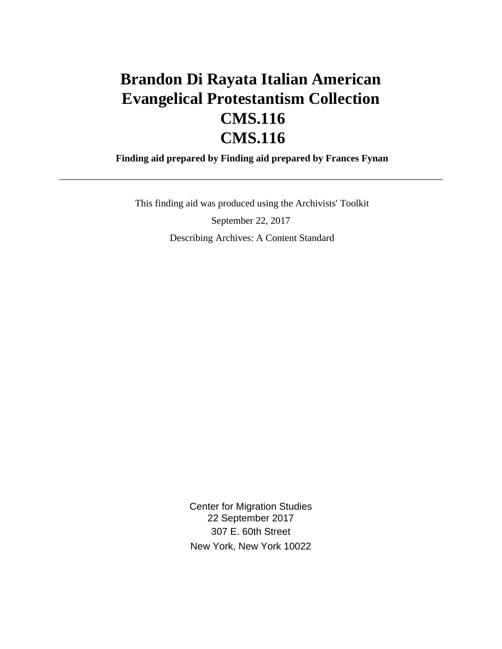# **Brandon Di Rayata Italian American Evangelical Protestantism Collection CMS.116 CMS.116**

 **Finding aid prepared by Finding aid prepared by Frances Fynan**

 This finding aid was produced using the Archivists' Toolkit September 22, 2017 Describing Archives: A Content Standard

> Center for Migration Studies 22 September 2017 307 E. 60th Street New York, New York 10022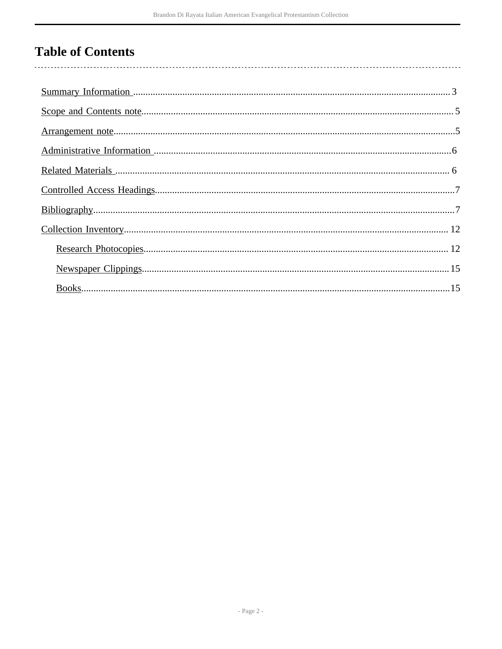# **Table of Contents**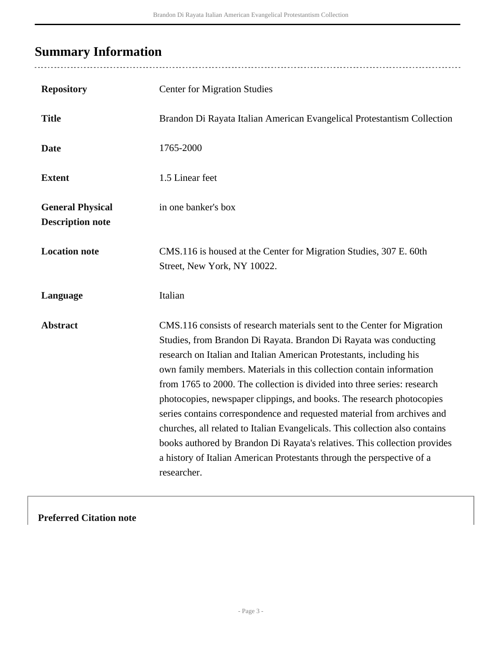# <span id="page-2-0"></span>**Summary Information**

| <b>Repository</b>                                  | <b>Center for Migration Studies</b>                                                                                                                                                                                                                                                                                                                                                                                                                                                                                                                                                                                                                                                                                                                                               |
|----------------------------------------------------|-----------------------------------------------------------------------------------------------------------------------------------------------------------------------------------------------------------------------------------------------------------------------------------------------------------------------------------------------------------------------------------------------------------------------------------------------------------------------------------------------------------------------------------------------------------------------------------------------------------------------------------------------------------------------------------------------------------------------------------------------------------------------------------|
| <b>Title</b>                                       | Brandon Di Rayata Italian American Evangelical Protestantism Collection                                                                                                                                                                                                                                                                                                                                                                                                                                                                                                                                                                                                                                                                                                           |
| <b>Date</b>                                        | 1765-2000                                                                                                                                                                                                                                                                                                                                                                                                                                                                                                                                                                                                                                                                                                                                                                         |
| <b>Extent</b>                                      | 1.5 Linear feet                                                                                                                                                                                                                                                                                                                                                                                                                                                                                                                                                                                                                                                                                                                                                                   |
| <b>General Physical</b><br><b>Description note</b> | in one banker's box                                                                                                                                                                                                                                                                                                                                                                                                                                                                                                                                                                                                                                                                                                                                                               |
| <b>Location note</b>                               | CMS.116 is housed at the Center for Migration Studies, 307 E. 60th<br>Street, New York, NY 10022.                                                                                                                                                                                                                                                                                                                                                                                                                                                                                                                                                                                                                                                                                 |
| Language                                           | Italian                                                                                                                                                                                                                                                                                                                                                                                                                                                                                                                                                                                                                                                                                                                                                                           |
| <b>Abstract</b>                                    | CMS.116 consists of research materials sent to the Center for Migration<br>Studies, from Brandon Di Rayata. Brandon Di Rayata was conducting<br>research on Italian and Italian American Protestants, including his<br>own family members. Materials in this collection contain information<br>from 1765 to 2000. The collection is divided into three series: research<br>photocopies, newspaper clippings, and books. The research photocopies<br>series contains correspondence and requested material from archives and<br>churches, all related to Italian Evangelicals. This collection also contains<br>books authored by Brandon Di Rayata's relatives. This collection provides<br>a history of Italian American Protestants through the perspective of a<br>researcher. |

### **Preferred Citation note**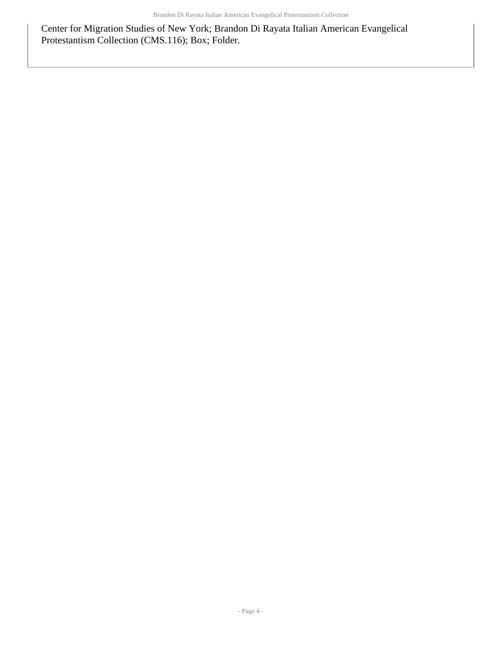Center for Migration Studies of New York; Brandon Di Rayata Italian American Evangelical Protestantism Collection (CMS.116); Box; Folder.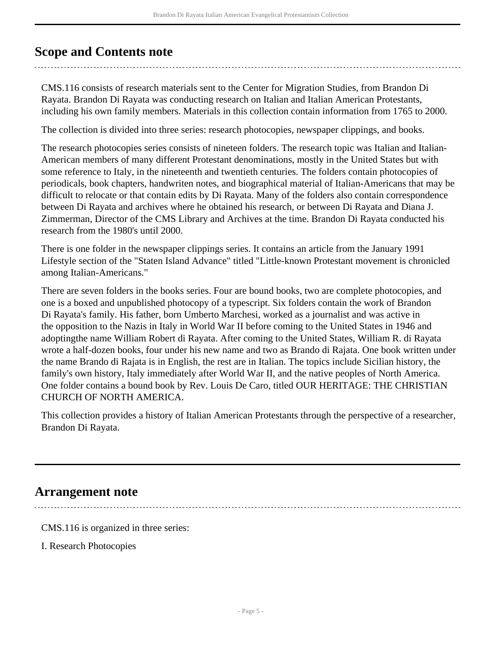## <span id="page-4-0"></span>**Scope and Contents note**

CMS.116 consists of research materials sent to the Center for Migration Studies, from Brandon Di Rayata. Brandon Di Rayata was conducting research on Italian and Italian American Protestants, including his own family members. Materials in this collection contain information from 1765 to 2000.

The collection is divided into three series: research photocopies, newspaper clippings, and books.

The research photocopies series consists of nineteen folders. The research topic was Italian and Italian-American members of many different Protestant denominations, mostly in the United States but with some reference to Italy, in the nineteenth and twentieth centuries. The folders contain photocopies of periodicals, book chapters, handwriten notes, and biographical material of Italian-Americans that may be difficult to relocate or that contain edits by Di Rayata. Many of the folders also contain correspondence between Di Rayata and archives where he obtained his research, or between Di Rayata and Diana J. Zimmerman, Director of the CMS Library and Archives at the time. Brandon Di Rayata conducted his research from the 1980's until 2000.

There is one folder in the newspaper clippings series. It contains an article from the January 1991 Lifestyle section of the "Staten Island Advance" titled "Little-known Protestant movement is chronicled among Italian-Americans."

There are seven folders in the books series. Four are bound books, two are complete photocopies, and one is a boxed and unpublished photocopy of a typescript. Six folders contain the work of Brandon Di Rayata's family. His father, born Umberto Marchesi, worked as a journalist and was active in the opposition to the Nazis in Italy in World War II before coming to the United States in 1946 and adoptingthe name William Robert di Rayata. After coming to the United States, William R. di Rayata wrote a half-dozen books, four under his new name and two as Brando di Rajata. One book written under the name Brando di Rajata is in English, the rest are in Italian. The topics include Sicilian history, the family's own history, Italy immediately after World War II, and the native peoples of North America. One folder contains a bound book by Rev. Louis De Caro, titled OUR HERITAGE: THE CHRISTIAN CHURCH OF NORTH AMERICA.

This collection provides a history of Italian American Protestants through the perspective of a researcher, Brandon Di Rayata.

### <span id="page-4-1"></span>**Arrangement note**

CMS.116 is organized in three series:

I. Research Photocopies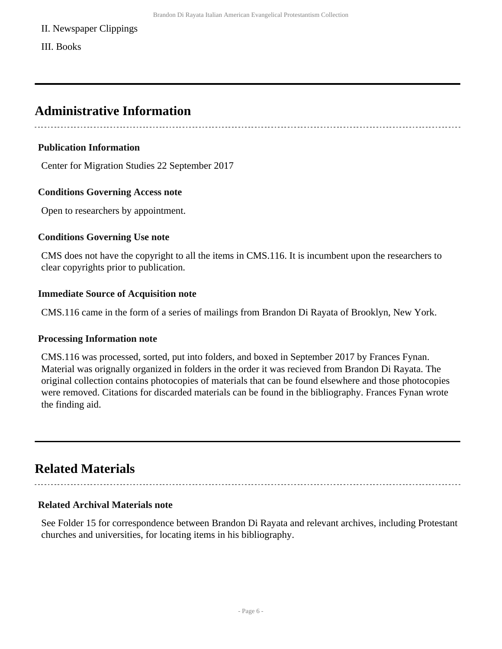#### II. Newspaper Clippings

III. Books

### <span id="page-5-0"></span>**Administrative Information**

#### **Publication Information**

Center for Migration Studies 22 September 2017

#### **Conditions Governing Access note**

Open to researchers by appointment.

#### **Conditions Governing Use note**

CMS does not have the copyright to all the items in CMS.116. It is incumbent upon the researchers to clear copyrights prior to publication.

#### **Immediate Source of Acquisition note**

CMS.116 came in the form of a series of mailings from Brandon Di Rayata of Brooklyn, New York.

#### **Processing Information note**

CMS.116 was processed, sorted, put into folders, and boxed in September 2017 by Frances Fynan. Material was orignally organized in folders in the order it was recieved from Brandon Di Rayata. The original collection contains photocopies of materials that can be found elsewhere and those photocopies were removed. Citations for discarded materials can be found in the bibliography. Frances Fynan wrote the finding aid.

### <span id="page-5-1"></span>**Related Materials**

### **Related Archival Materials note**

See Folder 15 for correspondence between Brandon Di Rayata and relevant archives, including Protestant churches and universities, for locating items in his bibliography.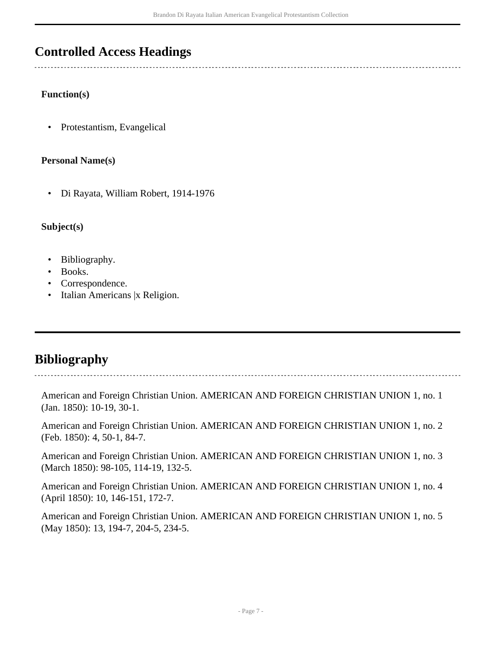### <span id="page-6-0"></span>**Controlled Access Headings**

#### **Function(s)**

• Protestantism, Evangelical

#### **Personal Name(s)**

• Di Rayata, William Robert, 1914-1976

#### **Subject(s)**

- Bibliography.
- Books.
- Correspondence.
- Italian Americans |x Religion.

### <span id="page-6-1"></span>**Bibliography**

American and Foreign Christian Union. AMERICAN AND FOREIGN CHRISTIAN UNION 1, no. 1 (Jan. 1850): 10-19, 30-1.

American and Foreign Christian Union. AMERICAN AND FOREIGN CHRISTIAN UNION 1, no. 2 (Feb. 1850): 4, 50-1, 84-7.

American and Foreign Christian Union. AMERICAN AND FOREIGN CHRISTIAN UNION 1, no. 3 (March 1850): 98-105, 114-19, 132-5.

American and Foreign Christian Union. AMERICAN AND FOREIGN CHRISTIAN UNION 1, no. 4 (April 1850): 10, 146-151, 172-7.

American and Foreign Christian Union. AMERICAN AND FOREIGN CHRISTIAN UNION 1, no. 5 (May 1850): 13, 194-7, 204-5, 234-5.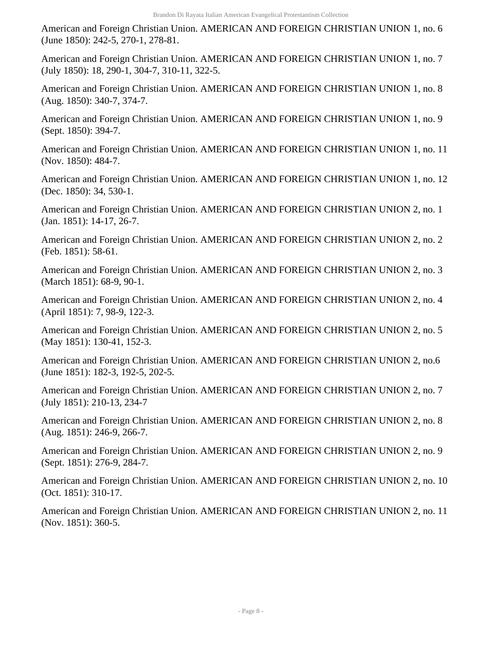American and Foreign Christian Union. AMERICAN AND FOREIGN CHRISTIAN UNION 1, no. 6 (June 1850): 242-5, 270-1, 278-81.

American and Foreign Christian Union. AMERICAN AND FOREIGN CHRISTIAN UNION 1, no. 7 (July 1850): 18, 290-1, 304-7, 310-11, 322-5.

American and Foreign Christian Union. AMERICAN AND FOREIGN CHRISTIAN UNION 1, no. 8 (Aug. 1850): 340-7, 374-7.

American and Foreign Christian Union. AMERICAN AND FOREIGN CHRISTIAN UNION 1, no. 9 (Sept. 1850): 394-7.

American and Foreign Christian Union. AMERICAN AND FOREIGN CHRISTIAN UNION 1, no. 11 (Nov. 1850): 484-7.

American and Foreign Christian Union. AMERICAN AND FOREIGN CHRISTIAN UNION 1, no. 12 (Dec. 1850): 34, 530-1.

American and Foreign Christian Union. AMERICAN AND FOREIGN CHRISTIAN UNION 2, no. 1 (Jan. 1851): 14-17, 26-7.

American and Foreign Christian Union. AMERICAN AND FOREIGN CHRISTIAN UNION 2, no. 2 (Feb. 1851): 58-61.

American and Foreign Christian Union. AMERICAN AND FOREIGN CHRISTIAN UNION 2, no. 3 (March 1851): 68-9, 90-1.

American and Foreign Christian Union. AMERICAN AND FOREIGN CHRISTIAN UNION 2, no. 4 (April 1851): 7, 98-9, 122-3.

American and Foreign Christian Union. AMERICAN AND FOREIGN CHRISTIAN UNION 2, no. 5 (May 1851): 130-41, 152-3.

American and Foreign Christian Union. AMERICAN AND FOREIGN CHRISTIAN UNION 2, no.6 (June 1851): 182-3, 192-5, 202-5.

American and Foreign Christian Union. AMERICAN AND FOREIGN CHRISTIAN UNION 2, no. 7 (July 1851): 210-13, 234-7

American and Foreign Christian Union. AMERICAN AND FOREIGN CHRISTIAN UNION 2, no. 8 (Aug. 1851): 246-9, 266-7.

American and Foreign Christian Union. AMERICAN AND FOREIGN CHRISTIAN UNION 2, no. 9 (Sept. 1851): 276-9, 284-7.

American and Foreign Christian Union. AMERICAN AND FOREIGN CHRISTIAN UNION 2, no. 10 (Oct. 1851): 310-17.

American and Foreign Christian Union. AMERICAN AND FOREIGN CHRISTIAN UNION 2, no. 11 (Nov. 1851): 360-5.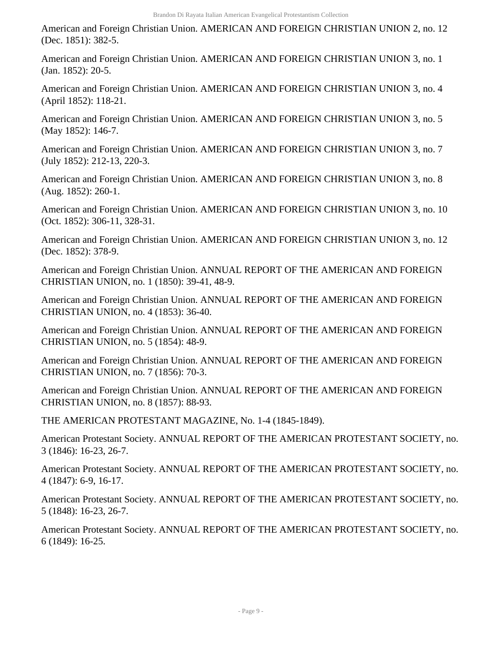American and Foreign Christian Union. AMERICAN AND FOREIGN CHRISTIAN UNION 2, no. 12 (Dec. 1851): 382-5.

American and Foreign Christian Union. AMERICAN AND FOREIGN CHRISTIAN UNION 3, no. 1 (Jan. 1852): 20-5.

American and Foreign Christian Union. AMERICAN AND FOREIGN CHRISTIAN UNION 3, no. 4 (April 1852): 118-21.

American and Foreign Christian Union. AMERICAN AND FOREIGN CHRISTIAN UNION 3, no. 5 (May 1852): 146-7.

American and Foreign Christian Union. AMERICAN AND FOREIGN CHRISTIAN UNION 3, no. 7 (July 1852): 212-13, 220-3.

American and Foreign Christian Union. AMERICAN AND FOREIGN CHRISTIAN UNION 3, no. 8 (Aug. 1852): 260-1.

American and Foreign Christian Union. AMERICAN AND FOREIGN CHRISTIAN UNION 3, no. 10 (Oct. 1852): 306-11, 328-31.

American and Foreign Christian Union. AMERICAN AND FOREIGN CHRISTIAN UNION 3, no. 12 (Dec. 1852): 378-9.

American and Foreign Christian Union. ANNUAL REPORT OF THE AMERICAN AND FOREIGN CHRISTIAN UNION, no. 1 (1850): 39-41, 48-9.

American and Foreign Christian Union. ANNUAL REPORT OF THE AMERICAN AND FOREIGN CHRISTIAN UNION, no. 4 (1853): 36-40.

American and Foreign Christian Union. ANNUAL REPORT OF THE AMERICAN AND FOREIGN CHRISTIAN UNION, no. 5 (1854): 48-9.

American and Foreign Christian Union. ANNUAL REPORT OF THE AMERICAN AND FOREIGN CHRISTIAN UNION, no. 7 (1856): 70-3.

American and Foreign Christian Union. ANNUAL REPORT OF THE AMERICAN AND FOREIGN CHRISTIAN UNION, no. 8 (1857): 88-93.

THE AMERICAN PROTESTANT MAGAZINE, No. 1-4 (1845-1849).

American Protestant Society. ANNUAL REPORT OF THE AMERICAN PROTESTANT SOCIETY, no. 3 (1846): 16-23, 26-7.

American Protestant Society. ANNUAL REPORT OF THE AMERICAN PROTESTANT SOCIETY, no. 4 (1847): 6-9, 16-17.

American Protestant Society. ANNUAL REPORT OF THE AMERICAN PROTESTANT SOCIETY, no. 5 (1848): 16-23, 26-7.

American Protestant Society. ANNUAL REPORT OF THE AMERICAN PROTESTANT SOCIETY, no. 6 (1849): 16-25.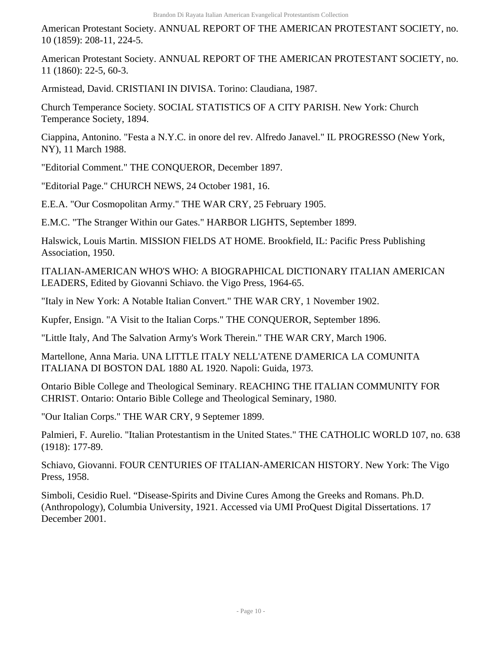American Protestant Society. ANNUAL REPORT OF THE AMERICAN PROTESTANT SOCIETY, no. 10 (1859): 208-11, 224-5.

American Protestant Society. ANNUAL REPORT OF THE AMERICAN PROTESTANT SOCIETY, no. 11 (1860): 22-5, 60-3.

Armistead, David. CRISTIANI IN DIVISA. Torino: Claudiana, 1987.

Church Temperance Society. SOCIAL STATISTICS OF A CITY PARISH. New York: Church Temperance Society, 1894.

Ciappina, Antonino. "Festa a N.Y.C. in onore del rev. Alfredo Janavel." IL PROGRESSO (New York, NY), 11 March 1988.

"Editorial Comment." THE CONQUEROR, December 1897.

"Editorial Page." CHURCH NEWS, 24 October 1981, 16.

E.E.A. "Our Cosmopolitan Army." THE WAR CRY, 25 February 1905.

E.M.C. "The Stranger Within our Gates." HARBOR LIGHTS, September 1899.

Halswick, Louis Martin. MISSION FIELDS AT HOME. Brookfield, IL: Pacific Press Publishing Association, 1950.

ITALIAN-AMERICAN WHO'S WHO: A BIOGRAPHICAL DICTIONARY ITALIAN AMERICAN LEADERS, Edited by Giovanni Schiavo. the Vigo Press, 1964-65.

"Italy in New York: A Notable Italian Convert." THE WAR CRY, 1 November 1902.

Kupfer, Ensign. "A Visit to the Italian Corps." THE CONQUEROR, September 1896.

"Little Italy, And The Salvation Army's Work Therein." THE WAR CRY, March 1906.

Martellone, Anna Maria. UNA LITTLE ITALY NELL'ATENE D'AMERICA LA COMUNITA ITALIANA DI BOSTON DAL 1880 AL 1920. Napoli: Guida, 1973.

Ontario Bible College and Theological Seminary. REACHING THE ITALIAN COMMUNITY FOR CHRIST. Ontario: Ontario Bible College and Theological Seminary, 1980.

"Our Italian Corps." THE WAR CRY, 9 Septemer 1899.

Palmieri, F. Aurelio. "Italian Protestantism in the United States." THE CATHOLIC WORLD 107, no. 638 (1918): 177-89.

Schiavo, Giovanni. FOUR CENTURIES OF ITALIAN-AMERICAN HISTORY. New York: The Vigo Press, 1958.

Simboli, Cesidio Ruel. "Disease-Spirits and Divine Cures Among the Greeks and Romans. Ph.D. (Anthropology), Columbia University, 1921. Accessed via UMI ProQuest Digital Dissertations. 17 December 2001.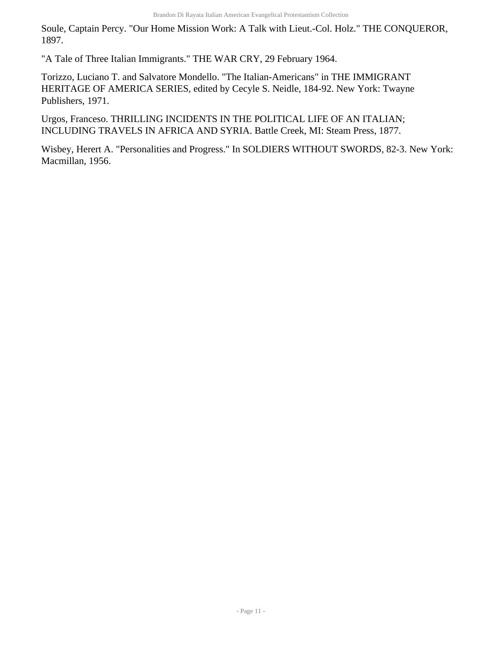Soule, Captain Percy. "Our Home Mission Work: A Talk with Lieut.-Col. Holz." THE CONQUEROR, 1897.

"A Tale of Three Italian Immigrants." THE WAR CRY, 29 February 1964.

Torizzo, Luciano T. and Salvatore Mondello. "The Italian-Americans" in THE IMMIGRANT HERITAGE OF AMERICA SERIES, edited by Cecyle S. Neidle, 184-92. New York: Twayne Publishers, 1971.

Urgos, Franceso. THRILLING INCIDENTS IN THE POLITICAL LIFE OF AN ITALIAN; INCLUDING TRAVELS IN AFRICA AND SYRIA. Battle Creek, MI: Steam Press, 1877.

Wisbey, Herert A. "Personalities and Progress." In SOLDIERS WITHOUT SWORDS, 82-3. New York: Macmillan, 1956.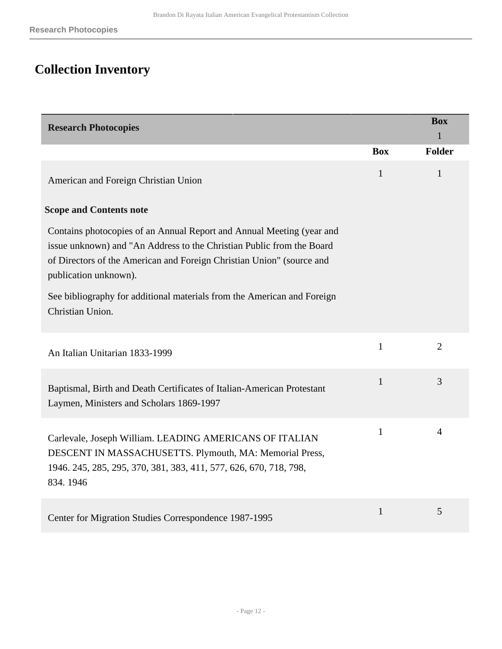# <span id="page-11-0"></span>**Collection Inventory**

<span id="page-11-1"></span>

| <b>Research Photocopies</b>                                                                                                                                                                                                                                                                                                                     |              | <b>Box</b><br>$\mathbf{1}$ |
|-------------------------------------------------------------------------------------------------------------------------------------------------------------------------------------------------------------------------------------------------------------------------------------------------------------------------------------------------|--------------|----------------------------|
|                                                                                                                                                                                                                                                                                                                                                 | <b>Box</b>   | <b>Folder</b>              |
| American and Foreign Christian Union                                                                                                                                                                                                                                                                                                            | $\mathbf{1}$ | 1                          |
| <b>Scope and Contents note</b>                                                                                                                                                                                                                                                                                                                  |              |                            |
| Contains photocopies of an Annual Report and Annual Meeting (year and<br>issue unknown) and "An Address to the Christian Public from the Board<br>of Directors of the American and Foreign Christian Union" (source and<br>publication unknown).<br>See bibliography for additional materials from the American and Foreign<br>Christian Union. |              |                            |
| An Italian Unitarian 1833-1999                                                                                                                                                                                                                                                                                                                  | $\mathbf{1}$ | $\overline{2}$             |
| Baptismal, Birth and Death Certificates of Italian-American Protestant<br>Laymen, Ministers and Scholars 1869-1997                                                                                                                                                                                                                              | $\mathbf{1}$ | 3                          |
| Carlevale, Joseph William. LEADING AMERICANS OF ITALIAN<br>DESCENT IN MASSACHUSETTS. Plymouth, MA: Memorial Press,<br>1946. 245, 285, 295, 370, 381, 383, 411, 577, 626, 670, 718, 798,<br>834.1946                                                                                                                                             | $\mathbf{1}$ | $\overline{4}$             |
| Center for Migration Studies Correspondence 1987-1995                                                                                                                                                                                                                                                                                           | $\mathbf{1}$ | 5                          |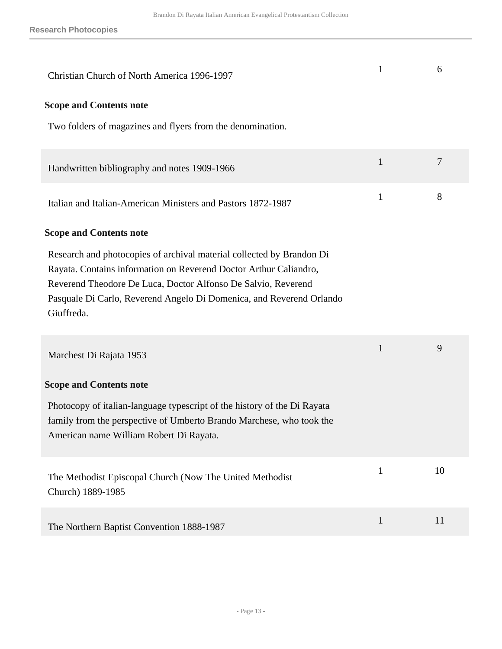| Christian Church of North America 1996-1997                                                                                                                                                                                                                                                       | $\mathbf{1}$ | 6  |
|---------------------------------------------------------------------------------------------------------------------------------------------------------------------------------------------------------------------------------------------------------------------------------------------------|--------------|----|
| <b>Scope and Contents note</b><br>Two folders of magazines and flyers from the denomination.                                                                                                                                                                                                      |              |    |
|                                                                                                                                                                                                                                                                                                   |              |    |
| Handwritten bibliography and notes 1909-1966                                                                                                                                                                                                                                                      | $\mathbf{1}$ | 7  |
| Italian and Italian-American Ministers and Pastors 1872-1987                                                                                                                                                                                                                                      | $\mathbf{1}$ | 8  |
| <b>Scope and Contents note</b>                                                                                                                                                                                                                                                                    |              |    |
| Research and photocopies of archival material collected by Brandon Di<br>Rayata. Contains information on Reverend Doctor Arthur Caliandro,<br>Reverend Theodore De Luca, Doctor Alfonso De Salvio, Reverend<br>Pasquale Di Carlo, Reverend Angelo Di Domenica, and Reverend Orlando<br>Giuffreda. |              |    |
| Marchest Di Rajata 1953                                                                                                                                                                                                                                                                           | $\mathbf{1}$ | 9  |
| <b>Scope and Contents note</b><br>Photocopy of italian-language typescript of the history of the Di Rayata<br>family from the perspective of Umberto Brando Marchese, who took the<br>American name William Robert Di Rayata.                                                                     |              |    |
| The Methodist Episcopal Church (Now The United Methodist)<br>Church) 1889-1985                                                                                                                                                                                                                    | $\mathbf{1}$ | 10 |
| The Northern Baptist Convention 1888-1987                                                                                                                                                                                                                                                         | $\mathbf{1}$ | 11 |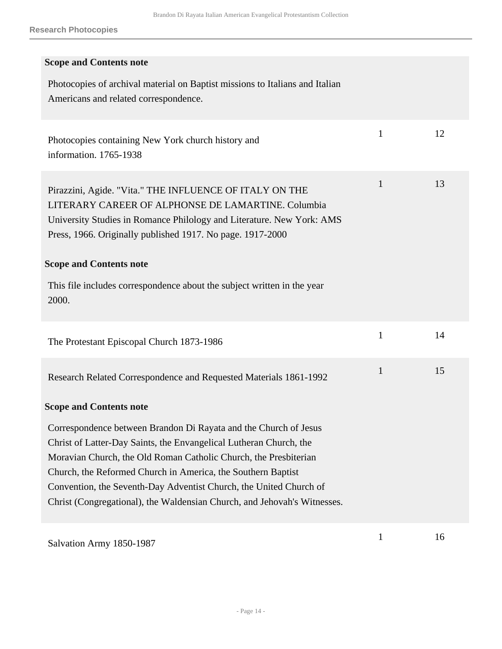| <b>Scope and Contents note</b>                                                                                                                                                                                                                                                                                                                                                                                               |              |    |
|------------------------------------------------------------------------------------------------------------------------------------------------------------------------------------------------------------------------------------------------------------------------------------------------------------------------------------------------------------------------------------------------------------------------------|--------------|----|
| Photocopies of archival material on Baptist missions to Italians and Italian<br>Americans and related correspondence.                                                                                                                                                                                                                                                                                                        |              |    |
| Photocopies containing New York church history and<br>information. 1765-1938                                                                                                                                                                                                                                                                                                                                                 | $\mathbf{1}$ | 12 |
| Pirazzini, Agide. "Vita." THE INFLUENCE OF ITALY ON THE<br>LITERARY CAREER OF ALPHONSE DE LAMARTINE. Columbia<br>University Studies in Romance Philology and Literature. New York: AMS<br>Press, 1966. Originally published 1917. No page. 1917-2000<br><b>Scope and Contents note</b><br>This file includes correspondence about the subject written in the year<br>2000.                                                   | 1            | 13 |
| The Protestant Episcopal Church 1873-1986                                                                                                                                                                                                                                                                                                                                                                                    | $\mathbf{1}$ | 14 |
| Research Related Correspondence and Requested Materials 1861-1992                                                                                                                                                                                                                                                                                                                                                            | $\mathbf{1}$ | 15 |
| <b>Scope and Contents note</b>                                                                                                                                                                                                                                                                                                                                                                                               |              |    |
| Correspondence between Brandon Di Rayata and the Church of Jesus<br>Christ of Latter-Day Saints, the Envangelical Lutheran Church, the<br>Moravian Church, the Old Roman Catholic Church, the Presbiterian<br>Church, the Reformed Church in America, the Southern Baptist<br>Convention, the Seventh-Day Adventist Church, the United Church of<br>Christ (Congregational), the Waldensian Church, and Jehovah's Witnesses. |              |    |
| Salvation Army 1850-1987                                                                                                                                                                                                                                                                                                                                                                                                     | $\mathbf{1}$ | 16 |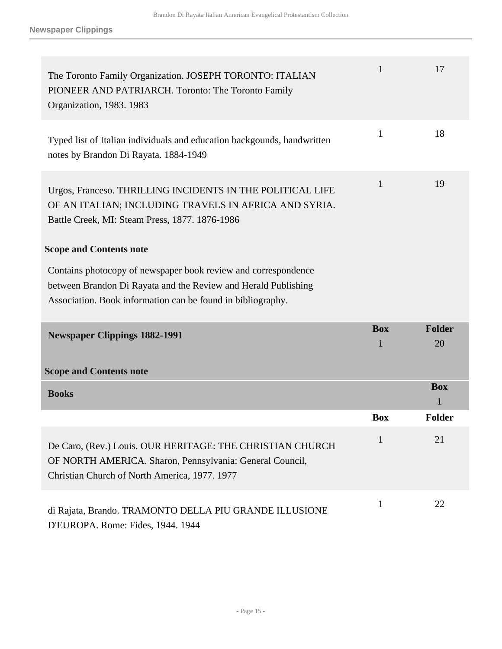<span id="page-14-1"></span><span id="page-14-0"></span>

| The Toronto Family Organization. JOSEPH TORONTO: ITALIAN<br>PIONEER AND PATRIARCH. Toronto: The Toronto Family<br>Organization, 1983. 1983                                                      | 1               | 17                  |
|-------------------------------------------------------------------------------------------------------------------------------------------------------------------------------------------------|-----------------|---------------------|
| Typed list of Italian individuals and education backgounds, handwritten<br>notes by Brandon Di Rayata. 1884-1949                                                                                | $\mathbf{1}$    | 18                  |
| Urgos, Franceso. THRILLING INCIDENTS IN THE POLITICAL LIFE<br>OF AN ITALIAN; INCLUDING TRAVELS IN AFRICA AND SYRIA.<br>Battle Creek, MI: Steam Press, 1877. 1876-1986                           | $\mathbf{1}$    | 19                  |
| <b>Scope and Contents note</b>                                                                                                                                                                  |                 |                     |
| Contains photocopy of newspaper book review and correspondence<br>between Brandon Di Rayata and the Review and Herald Publishing<br>Association. Book information can be found in bibliography. |                 |                     |
| <b>Newspaper Clippings 1882-1991</b>                                                                                                                                                            | <b>Box</b><br>1 | <b>Folder</b><br>20 |
|                                                                                                                                                                                                 |                 |                     |
| <b>Scope and Contents note</b>                                                                                                                                                                  |                 |                     |
| <b>Books</b>                                                                                                                                                                                    |                 | <b>Box</b><br>1     |
|                                                                                                                                                                                                 | <b>Box</b>      | <b>Folder</b>       |
| De Caro, (Rev.) Louis. OUR HERITAGE: THE CHRISTIAN CHURCH<br>OF NORTH AMERICA. Sharon, Pennsylvania: General Council,<br>Christian Church of North America, 1977. 1977                          | $\mathbf{1}$    | 21                  |